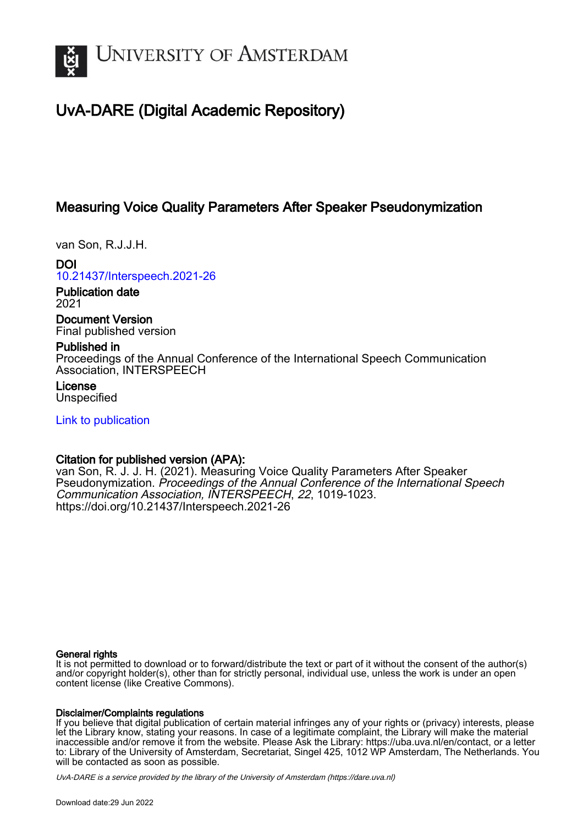

# UvA-DARE (Digital Academic Repository)

# Measuring Voice Quality Parameters After Speaker Pseudonymization

van Son, R.J.J.H.

DOI [10.21437/Interspeech.2021-26](https://doi.org/10.21437/Interspeech.2021-26)

Publication date 2021

Document Version Final published version

## Published in

Proceedings of the Annual Conference of the International Speech Communication Association, INTERSPEECH

License **Unspecified** 

[Link to publication](https://dare.uva.nl/personal/pure/en/publications/measuring-voice-quality-parameters-after-speaker-pseudonymization(61b3d9c1-b519-45fc-b6df-855520144ee8).html)

## Citation for published version (APA):

van Son, R. J. J. H. (2021). Measuring Voice Quality Parameters After Speaker Pseudonymization. Proceedings of the Annual Conference of the International Speech Communication Association, INTERSPEECH, 22, 1019-1023. <https://doi.org/10.21437/Interspeech.2021-26>

### General rights

It is not permitted to download or to forward/distribute the text or part of it without the consent of the author(s) and/or copyright holder(s), other than for strictly personal, individual use, unless the work is under an open content license (like Creative Commons).

### Disclaimer/Complaints regulations

If you believe that digital publication of certain material infringes any of your rights or (privacy) interests, please let the Library know, stating your reasons. In case of a legitimate complaint, the Library will make the material inaccessible and/or remove it from the website. Please Ask the Library: https://uba.uva.nl/en/contact, or a letter to: Library of the University of Amsterdam, Secretariat, Singel 425, 1012 WP Amsterdam, The Netherlands. You will be contacted as soon as possible.

UvA-DARE is a service provided by the library of the University of Amsterdam (http*s*://dare.uva.nl)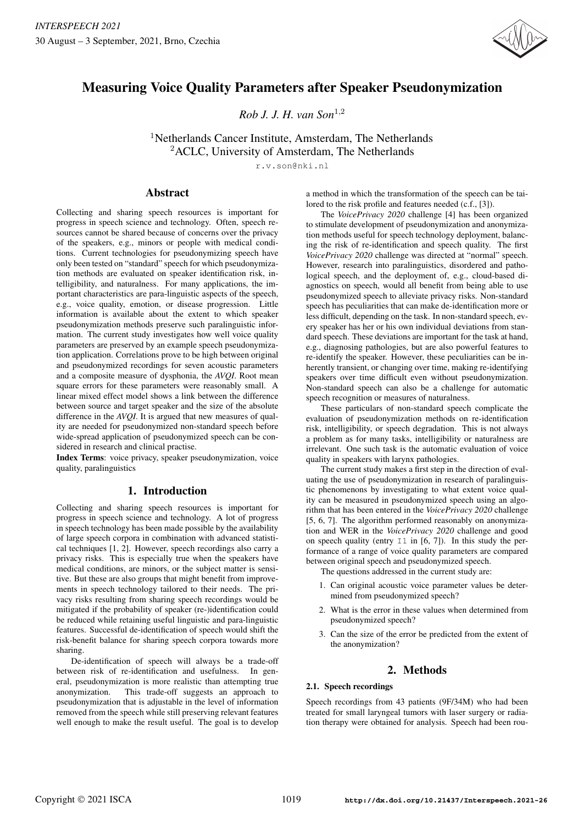

# Measuring Voice Quality Parameters after Speaker Pseudonymization

*Rob J. J. H. van Son*<sup>1</sup>,<sup>2</sup>

<sup>1</sup>Netherlands Cancer Institute, Amsterdam, The Netherlands <sup>2</sup> ACLC, University of Amsterdam, The Netherlands

r.v.son@nki.nl

### Abstract

Collecting and sharing speech resources is important for progress in speech science and technology. Often, speech resources cannot be shared because of concerns over the privacy of the speakers, e.g., minors or people with medical conditions. Current technologies for pseudonymizing speech have only been tested on "standard" speech for which pseudonymization methods are evaluated on speaker identification risk, intelligibility, and naturalness. For many applications, the important characteristics are para-linguistic aspects of the speech, e.g., voice quality, emotion, or disease progression. Little information is available about the extent to which speaker pseudonymization methods preserve such paralinguistic information. The current study investigates how well voice quality parameters are preserved by an example speech pseudonymization application. Correlations prove to be high between original and pseudonymized recordings for seven acoustic parameters and a composite measure of dysphonia, the *AVQI*. Root mean square errors for these parameters were reasonably small. A linear mixed effect model shows a link between the difference between source and target speaker and the size of the absolute difference in the *AVQI*. It is argued that new measures of quality are needed for pseudonymized non-standard speech before wide-spread application of pseudonymized speech can be considered in research and clinical practise.

Index Terms: voice privacy, speaker pseudonymization, voice quality, paralinguistics

### 1. Introduction

Collecting and sharing speech resources is important for progress in speech science and technology. A lot of progress in speech technology has been made possible by the availability of large speech corpora in combination with advanced statistical techniques [1, 2]. However, speech recordings also carry a privacy risks. This is especially true when the speakers have medical conditions, are minors, or the subject matter is sensitive. But these are also groups that might benefit from improvements in speech technology tailored to their needs. The privacy risks resulting from sharing speech recordings would be mitigated if the probability of speaker (re-)identification could be reduced while retaining useful linguistic and para-linguistic features. Successful de-identification of speech would shift the risk-benefit balance for sharing speech corpora towards more sharing.

De-identification of speech will always be a trade-off between risk of re-identification and usefulness. In general, pseudonymization is more realistic than attempting true anonymization. This trade-off suggests an approach to pseudonymization that is adjustable in the level of information removed from the speech while still preserving relevant features well enough to make the result useful. The goal is to develop a method in which the transformation of the speech can be tailored to the risk profile and features needed (c.f., [3]).

The *VoicePrivacy 2020* challenge [4] has been organized to stimulate development of pseudonymization and anonymization methods useful for speech technology deployment, balancing the risk of re-identification and speech quality. The first *VoicePrivacy 2020* challenge was directed at "normal" speech. However, research into paralinguistics, disordered and pathological speech, and the deployment of, e.g., cloud-based diagnostics on speech, would all benefit from being able to use pseudonymized speech to alleviate privacy risks. Non-standard speech has peculiarities that can make de-identification more or less difficult, depending on the task. In non-standard speech, every speaker has her or his own individual deviations from standard speech. These deviations are important for the task at hand, e.g., diagnosing pathologies, but are also powerful features to re-identify the speaker. However, these peculiarities can be inherently transient, or changing over time, making re-identifying speakers over time difficult even without pseudonymization. Non-standard speech can also be a challenge for automatic speech recognition or measures of naturalness.

These particulars of non-standard speech complicate the evaluation of pseudonymization methods on re-identification risk, intelligibility, or speech degradation. This is not always a problem as for many tasks, intelligibility or naturalness are irrelevant. One such task is the automatic evaluation of voice quality in speakers with larynx pathologies.

The current study makes a first step in the direction of evaluating the use of pseudonymization in research of paralinguistic phenomenons by investigating to what extent voice quality can be measured in pseudonymized speech using an algorithm that has been entered in the *VoicePrivacy 2020* challenge [5, 6, 7]. The algorithm performed reasonably on anonymization and WER in the *VoicePrivacy 2020* challenge and good on speech quality (entry  $I1$  in  $[6, 7]$ ). In this study the performance of a range of voice quality parameters are compared between original speech and pseudonymized speech.

The questions addressed in the current study are:

- 1. Can original acoustic voice parameter values be determined from pseudonymized speech?
- 2. What is the error in these values when determined from pseudonymized speech?
- 3. Can the size of the error be predicted from the extent of the anonymization?

### 2. Methods

### 2.1. Speech recordings

Speech recordings from 43 patients (9F/34M) who had been treated for small laryngeal tumors with laser surgery or radiation therapy were obtained for analysis. Speech had been rou-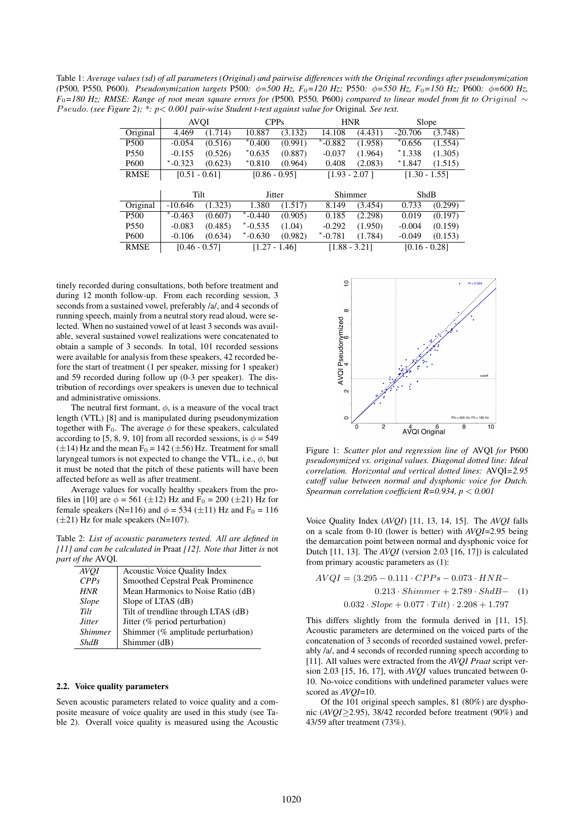Table 1: *Average values (sd) of all parameters (Original) and pairwise differences with the Original recordings after pseudonymization (*P500*,* P550*,* P600*). Pseudonymization targets* P500*:* φ*=500 Hz, F*0*=120 Hz;* P550*:* φ*=550 Hz, F*0*=150 Hz;* P600*:* φ*=600 Hz, F*0*=180 Hz; RMSE: Range of root mean square errors for (*P500*,* P550*,* P600*) compared to linear model from fit to* Original ∼ P seudo. *(see Figure 2); \*: p*< *0.001 pair-wise Student t-test against value for* Original*. See text.*

|                  | <b>AVQI</b>     |         | CPPs            |         | <b>HNR</b>      |         | Slope           |         |
|------------------|-----------------|---------|-----------------|---------|-----------------|---------|-----------------|---------|
| Original         | 4.469           | (1.714) | 10.887          | (3.132) | 14.108          | (4.431) | $-20.706$       | (3.748) |
| P <sub>500</sub> | $-0.054$        | (0.516) | $*0.400$        | (0.991) | $*$ -0.882      | (1.958) | $*0.656$        | (1.554) |
| P <sub>550</sub> | $-0.155$        | (0.526) | $*0.635$        | (0.887) | $-0.037$        | (1.964) | $*1.338$        | (1.305) |
| P <sub>600</sub> | $*$ -0.323      | (0.623) | $*0.810$        | (0.964) | 0.408           | (2.083) | $*1.847$        | (1.515) |
| <b>RMSE</b>      | $[0.51 - 0.61]$ |         | $[0.86 - 0.95]$ |         | $[1.93 - 2.07]$ |         | $[1.30 - 1.55]$ |         |
|                  |                 |         |                 |         |                 |         |                 |         |
|                  |                 |         |                 |         |                 |         |                 |         |
|                  | Tilt            |         | Jitter          |         |                 | Shimmer | <b>ShdB</b>     |         |
| Original         | $-10.646$       | (1.323) | 1.380           | (1.517) | 8.149           | (3.454) | 0.733           | (0.299) |
| P <sub>500</sub> | $*$ -0.463      | (0.607) | $*$ -0.440      | (0.905) | 0.185           | (2.298) | 0.019           | (0.197) |
| P <sub>550</sub> | $-0.083$        | (0.485) | $*$ -0.535      | (1.04)  | $-0.292$        | (1.950) | $-0.004$        | (0.159) |
| P <sub>600</sub> | $-0.106$        | (0.634) | $*$ -0.630      | (0.982) | $*$ -0.781      | (1.784) | $-0.049$        | (0.153) |

tinely recorded during consultations, both before treatment and during 12 month follow-up. From each recording session, 3 seconds from a sustained vowel, preferably /a/, and 4 seconds of running speech, mainly from a neutral story read aloud, were selected. When no sustained vowel of at least 3 seconds was available, several sustained vowel realizations were concatenated to obtain a sample of 3 seconds. In total, 101 recorded sessions were available for analysis from these speakers, 42 recorded before the start of treatment (1 per speaker, missing for 1 speaker) and 59 recorded during follow up (0-3 per speaker). The distribution of recordings over speakers is uneven due to technical and administrative omissions.

The neutral first formant,  $\phi$ , is a measure of the vocal tract length (VTL) [8] and is manipulated during pseudonymization together with F<sub>0</sub>. The average  $\phi$  for these speakers, calculated according to [5, 8, 9, 10] from all recorded sessions, is  $\phi = 549$  $(\pm 14)$  Hz and the mean F<sub>0</sub> = 142 ( $\pm 56$ ) Hz. Treatment for small laryngeal tumors is not expected to change the VTL, i.e.,  $\phi$ , but it must be noted that the pitch of these patients will have been affected before as well as after treatment.

Average values for vocally healthy speakers from the profiles in [10] are  $\phi = 561 (\pm 12)$  Hz and F<sub>0</sub> = 200 ( $\pm 21$ ) Hz for female speakers (N=116) and  $\phi$  = 534 ( $\pm$ 11) Hz and F<sub>0</sub> = 116  $(\pm 21)$  Hz for male speakers (N=107).

Table 2: *List of acoustic parameters tested. All are defined in [11] and can be calculated in* Praat *[12]. Note that* Jitter *is* not *part of the* AVQI*.*

| AVOI           | <b>Acoustic Voice Quality Index</b> |
|----------------|-------------------------------------|
| CPPs           | Smoothed Cepstral Peak Prominence   |
| <b>HNR</b>     | Mean Harmonics to Noise Ratio (dB)  |
| Slope          | Slope of LTAS (dB)                  |
| Tilt           | Tilt of trendline through LTAS (dB) |
| <b>Jitter</b>  | Jitter (% period perturbation)      |
| <b>Shimmer</b> | Shimmer (% amplitude perturbation)  |
| ShdR           | Shimmer (dB)                        |

#### 2.2. Voice quality parameters

Seven acoustic parameters related to voice quality and a composite measure of voice quality are used in this study (see Table 2). Overall voice quality is measured using the Acoustic



Figure 1: *Scatter plot and regression line of* AVQI *for* P600 *pseudonymized vs. original values. Diagonal dotted line: Ideal correlation. Horizontal and vertical dotted lines:* AVQI*=2.95 cutoff value between normal and dysphonic voice for Dutch. Spearman correlation coefficient R=0.934, p* < *0.001*

Voice Quality Index (*AVQI*) [11, 13, 14, 15]. The *AVQI* falls on a scale from 0-10 (lower is better) with *AVQI*=2.95 being the demarcation point between normal and dysphonic voice for Dutch [11, 13]. The *AVQI* (version 2.03 [16, 17]) is calculated from primary acoustic parameters as (1):

$$
AVQI = (3.295 - 0.111 \cdot CPPs - 0.073 \cdot HNR - 0.213 \cdot Shimmer + 2.789 \cdot ShdB - (1)
$$

$$
0.032 \cdot Slope + 0.077 \cdot Tilt) \cdot 2.208 + 1.797
$$

This differs slightly from the formula derived in [11, 15]. Acoustic parameters are determined on the voiced parts of the concatenation of 3 seconds of recorded sustained vowel, preferably /a/, and 4 seconds of recorded running speech according to [11]. All values were extracted from the *AVQI Praat* script version 2.03 [15, 16, 17], with *AVQI* values truncated between 0- 10. No-voice conditions with undefined parameter values were scored as *AVQI*=10.

Of the 101 original speech samples, 81 (80%) are dysphonic (*AVQI*≥2.95), 38/42 recorded before treatment (90%) and 43/59 after treatment (73%).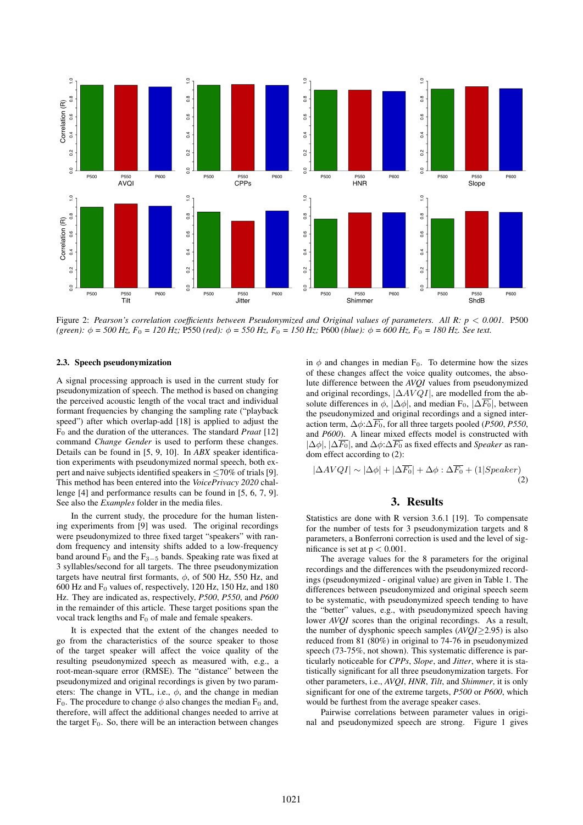

Figure 2: *Pearson's correlation coefficients between Pseudonymized and Original values of parameters. All R: p* < *0.001.* P500 *(green):* φ *= 500 Hz, F*<sup>0</sup> *= 120 Hz;* P550 *(red):* φ *= 550 Hz, F*<sup>0</sup> *= 150 Hz;* P600 *(blue):* φ *= 600 Hz, F*<sup>0</sup> *= 180 Hz. See text.*

#### 2.3. Speech pseudonymization

A signal processing approach is used in the current study for pseudonymization of speech. The method is based on changing the perceived acoustic length of the vocal tract and individual formant frequencies by changing the sampling rate ("playback speed") after which overlap-add [18] is applied to adjust the F<sup>0</sup> and the duration of the utterances. The standard *Praat* [12] command *Change Gender* is used to perform these changes. Details can be found in [5, 9, 10]. In *ABX* speaker identification experiments with pseudonymized normal speech, both expert and naive subjects identified speakers in ≤70% of trials [9]. This method has been entered into the *VoicePrivacy 2020* challenge [4] and performance results can be found in [5, 6, 7, 9]. See also the *Examples* folder in the media files.

In the current study, the procedure for the human listening experiments from [9] was used. The original recordings were pseudonymized to three fixed target "speakers" with random frequency and intensity shifts added to a low-frequency band around  $F_0$  and the  $F_{3-5}$  bands. Speaking rate was fixed at 3 syllables/second for all targets. The three pseudonymization targets have neutral first formants,  $\phi$ , of 500 Hz, 550 Hz, and 600 Hz and  $F_0$  values of, respectively, 120 Hz, 150 Hz, and 180 Hz. They are indicated as, respectively, *P500*, *P550*, and *P600* in the remainder of this article. These target positions span the vocal track lengths and  $F_0$  of male and female speakers.

It is expected that the extent of the changes needed to go from the characteristics of the source speaker to those of the target speaker will affect the voice quality of the resulting pseudonymized speech as measured with, e.g., a root-mean-square error (RMSE). The "distance" between the pseudonymized and original recordings is given by two parameters: The change in VTL, i.e.,  $\phi$ , and the change in median F<sub>0</sub>. The procedure to change  $\phi$  also changes the median F<sub>0</sub> and, therefore, will affect the additional changes needed to arrive at the target  $F_0$ . So, there will be an interaction between changes in  $\phi$  and changes in median F<sub>0</sub>. To determine how the sizes of these changes affect the voice quality outcomes, the absolute difference between the *AVQI* values from pseudonymized and original recordings,  $|\Delta A V Q I|$ , are modelled from the absolute differences in  $\phi$ ,  $|\Delta\phi|$ , and median F<sub>0</sub>,  $|\Delta\overline{F_0}|$ , between the pseudonymized and original recordings and a signed interaction term,  $\Delta \phi$ : $\Delta \overline{F_0}$ , for all three targets pooled (*P500*, *P550*, and *P600*). A linear mixed effects model is constructed with  $|\Delta\phi|, |\Delta\overline{F_0}|$ , and  $\Delta\phi$ : $\Delta\overline{F_0}$  as fixed effects and *Speaker* as random effect according to (2):

$$
|\Delta AVQI| \sim |\Delta\phi| + |\Delta\overline{F_0}| + \Delta\phi : \Delta\overline{F_0} + (1|Speaker)
$$
\n(2)

### 3. Results

Statistics are done with R version 3.6.1 [19]. To compensate for the number of tests for 3 pseudonymization targets and 8 parameters, a Bonferroni correction is used and the level of significance is set at  $p < 0.001$ .

The average values for the 8 parameters for the original recordings and the differences with the pseudonymized recordings (pseudonymized - original value) are given in Table 1. The differences between pseudonymized and original speech seem to be systematic, with pseudonymized speech tending to have the "better" values, e.g., with pseudonymized speech having lower *AVQI* scores than the original recordings. As a result, the number of dysphonic speech samples (*AVQI*≥2.95) is also reduced from 81 (80%) in original to 74-76 in pseudonymized speech (73-75%, not shown). This systematic difference is particularly noticeable for *CPPs*, *Slope*, and *Jitter*, where it is statistically significant for all three pseudonymization targets. For other parameters, i.e., *AVQI*, *HNR*, *Tilt*, and *Shimmer*, it is only significant for one of the extreme targets, *P500* or *P600*, which would be furthest from the average speaker cases.

Pairwise correlations between parameter values in original and pseudonymized speech are strong. Figure 1 gives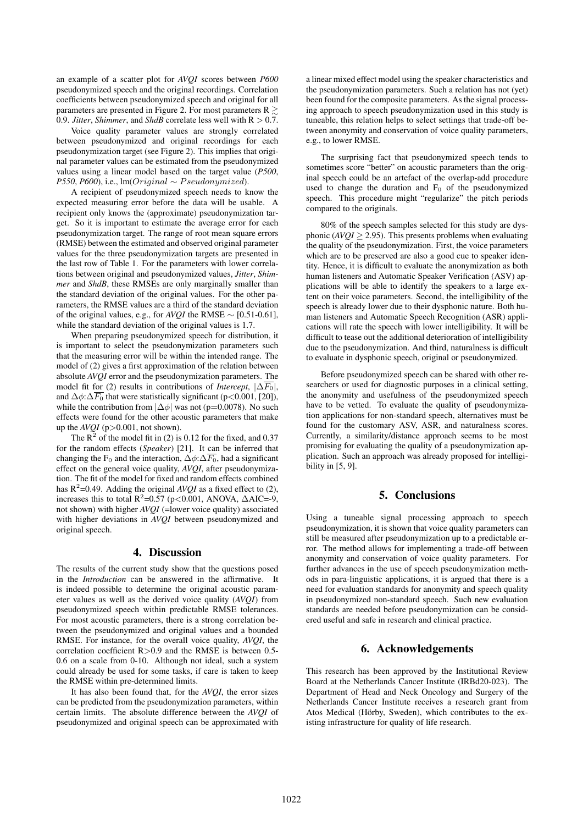an example of a scatter plot for *AVQI* scores between *P600* pseudonymized speech and the original recordings. Correlation coefficients between pseudonymized speech and original for all parameters are presented in Figure 2. For most parameters  $R \gtrsim$ 0.9. *Jitter*, *Shimmer*, and *ShdB* correlate less well with  $R > 0.7$ .

Voice quality parameter values are strongly correlated between pseudonymized and original recordings for each pseudonymization target (see Figure 2). This implies that original parameter values can be estimated from the pseudonymized values using a linear model based on the target value (*P500*, *P550*, *P600*), i.e., lm( $Original \sim Pseudonymized$ ).

A recipient of pseudonymized speech needs to know the expected measuring error before the data will be usable. A recipient only knows the (approximate) pseudonymization target. So it is important to estimate the average error for each pseudonymization target. The range of root mean square errors (RMSE) between the estimated and observed original parameter values for the three pseudonymization targets are presented in the last row of Table 1. For the parameters with lower correlations between original and pseudonymized values, *Jitter*, *Shimmer* and *ShdB*, these RMSEs are only marginally smaller than the standard deviation of the original values. For the other parameters, the RMSE values are a third of the standard deviation of the original values, e.g., for *AVQI* the RMSE ∼ [0.51-0.61], while the standard deviation of the original values is 1.7.

When preparing pseudonymized speech for distribution, it is important to select the pseudonymization parameters such that the measuring error will be within the intended range. The model of (2) gives a first approximation of the relation between absolute *AVQI* error and the pseudonymization parameters. The model fit for (2) results in contributions of *Intercept*,  $|\Delta F_0|$ , and  $\Delta \phi$ : $\Delta \overline{F_0}$  that were statistically significant (p<0.001, [20]), while the contribution from  $|\Delta\phi|$  was not (p=0.0078). No such effects were found for the other acoustic parameters that make up the  $AVQI$  ( $p > 0.001$ , not shown).

The  $R^2$  of the model fit in (2) is 0.12 for the fixed, and 0.37 for the random effects (*Speaker*) [21]. It can be inferred that changing the F<sub>0</sub> and the interaction,  $\Delta \phi$ : $\Delta \overline{F_0}$ , had a significant effect on the general voice quality, *AVQI*, after pseudonymization. The fit of the model for fixed and random effects combined has  $R^2$ =0.49. Adding the original *AVQI* as a fixed effect to (2), increases this to total  $R^2$ =0.57 (p<0.001, ANOVA,  $\triangle$ AIC=-9, not shown) with higher *AVQI* (=lower voice quality) associated with higher deviations in *AVQI* between pseudonymized and original speech.

### 4. Discussion

The results of the current study show that the questions posed in the *Introduction* can be answered in the affirmative. It is indeed possible to determine the original acoustic parameter values as well as the derived voice quality (*AVQI*) from pseudonymized speech within predictable RMSE tolerances. For most acoustic parameters, there is a strong correlation between the pseudonymized and original values and a bounded RMSE. For instance, for the overall voice quality, *AVQI*, the correlation coefficient R>0.9 and the RMSE is between 0.5- 0.6 on a scale from 0-10. Although not ideal, such a system could already be used for some tasks, if care is taken to keep the RMSE within pre-determined limits.

It has also been found that, for the *AVQI*, the error sizes can be predicted from the pseudonymization parameters, within certain limits. The absolute difference between the *AVQI* of pseudonymized and original speech can be approximated with

a linear mixed effect model using the speaker characteristics and the pseudonymization parameters. Such a relation has not (yet) been found for the composite parameters. As the signal processing approach to speech pseudonymization used in this study is tuneable, this relation helps to select settings that trade-off between anonymity and conservation of voice quality parameters, e.g., to lower RMSE.

The surprising fact that pseudonymized speech tends to sometimes score "better" on acoustic parameters than the original speech could be an artefact of the overlap-add procedure used to change the duration and  $F_0$  of the pseudonymized speech. This procedure might "regularize" the pitch periods compared to the originals.

80% of the speech samples selected for this study are dysphonic ( $AVQI \geq 2.95$ ). This presents problems when evaluating the quality of the pseudonymization. First, the voice parameters which are to be preserved are also a good cue to speaker identity. Hence, it is difficult to evaluate the anonymization as both human listeners and Automatic Speaker Verification (ASV) applications will be able to identify the speakers to a large extent on their voice parameters. Second, the intelligibility of the speech is already lower due to their dysphonic nature. Both human listeners and Automatic Speech Recognition (ASR) applications will rate the speech with lower intelligibility. It will be difficult to tease out the additional deterioration of intelligibility due to the pseudonymization. And third, naturalness is difficult to evaluate in dysphonic speech, original or pseudonymized.

Before pseudonymized speech can be shared with other researchers or used for diagnostic purposes in a clinical setting, the anonymity and usefulness of the pseudonymized speech have to be vetted. To evaluate the quality of pseudonymization applications for non-standard speech, alternatives must be found for the customary ASV, ASR, and naturalness scores. Currently, a similarity/distance approach seems to be most promising for evaluating the quality of a pseudonymization application. Such an approach was already proposed for intelligibility in [5, 9].

### 5. Conclusions

Using a tuneable signal processing approach to speech pseudonymization, it is shown that voice quality parameters can still be measured after pseudonymization up to a predictable error. The method allows for implementing a trade-off between anonymity and conservation of voice quality parameters. For further advances in the use of speech pseudonymization methods in para-linguistic applications, it is argued that there is a need for evaluation standards for anonymity and speech quality in pseudonymized non-standard speech. Such new evaluation standards are needed before pseudonymization can be considered useful and safe in research and clinical practice.

### 6. Acknowledgements

This research has been approved by the Institutional Review Board at the Netherlands Cancer Institute (IRBd20-023). The Department of Head and Neck Oncology and Surgery of the Netherlands Cancer Institute receives a research grant from Atos Medical (Hörby, Sweden), which contributes to the existing infrastructure for quality of life research.